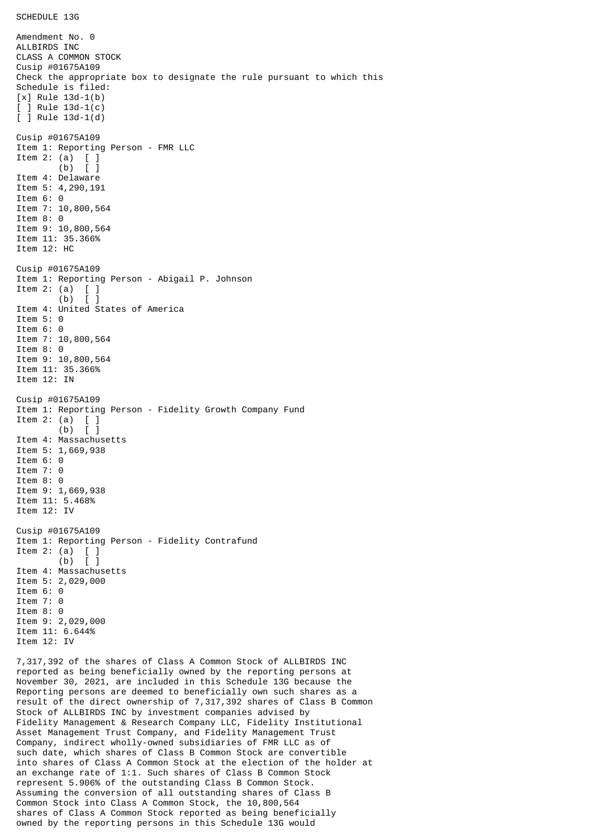Amendment No. 0 ALLBIRDS INC CLASS A COMMON STOCK Cusip #01675A109 Check the appropriate box to designate the rule pursuant to which this Schedule is filed: [x] Rule 13d-1(b) [ ] Rule 13d-1(c) [ ] Rule 13d-1(d) Cusip #01675A109 Item 1: Reporting Person - FMR LLC Item 2: (a) [ ] (b) [ ] Item 4: Delaware Item 5: 4,290,191 Item 6: 0 Item 7: 10,800,564 Item 8: 0 Item 9: 10,800,564 Item 11: 35.366% Item 12: HC Cusip #01675A109 Item 1: Reporting Person - Abigail P. Johnson Item 2: (a)  $\begin{bmatrix} 1 \\ 0 \end{bmatrix}$  $(b)$ Item 4: United States of America Item 5: 0 Item 6: 0 Item 7: 10,800,564 Item 8: 0 Item 9: 10,800,564 Item 11: 35.366% Item 12: IN Cusip #01675A109 Item 1: Reporting Person - Fidelity Growth Company Fund Item 2: (a) [ ] (b) [ ] Item 4: Massachusetts Item 5: 1,669,938 Item 6: 0 Item 7: 0 Item 8: 0 Item 9: 1,669,938 Item 11: 5.468% Item 12: IV Cusip #01675A109 Item 1: Reporting Person - Fidelity Contrafund Item 2: (a) [ ] (b) [ ] Item 4: Massachusetts Item 5: 2,029,000 Item 6: 0 Item 7: 0 Item 8: 0 Item 9: 2,029,000 Item 11: 6.644% Item 12: IV 7,317,392 of the shares of Class A Common Stock of ALLBIRDS INC reported as being beneficially owned by the reporting persons at November 30, 2021, are included in this Schedule 13G because the Reporting persons are deemed to beneficially own such shares as a

result of the direct ownership of 7,317,392 shares of Class B Common Stock of ALLBIRDS INC by investment companies advised by Fidelity Management & Research Company LLC, Fidelity Institutional Asset Management Trust Company, and Fidelity Management Trust Company, indirect wholly-owned subsidiaries of FMR LLC as of such date, which shares of Class B Common Stock are convertible into shares of Class A Common Stock at the election of the holder at an exchange rate of 1:1. Such shares of Class B Common Stock represent 5.906% of the outstanding Class B Common Stock. Assuming the conversion of all outstanding shares of Class B Common Stock into Class A Common Stock, the 10,800,564 shares of Class A Common Stock reported as being beneficially owned by the reporting persons in this Schedule 13G would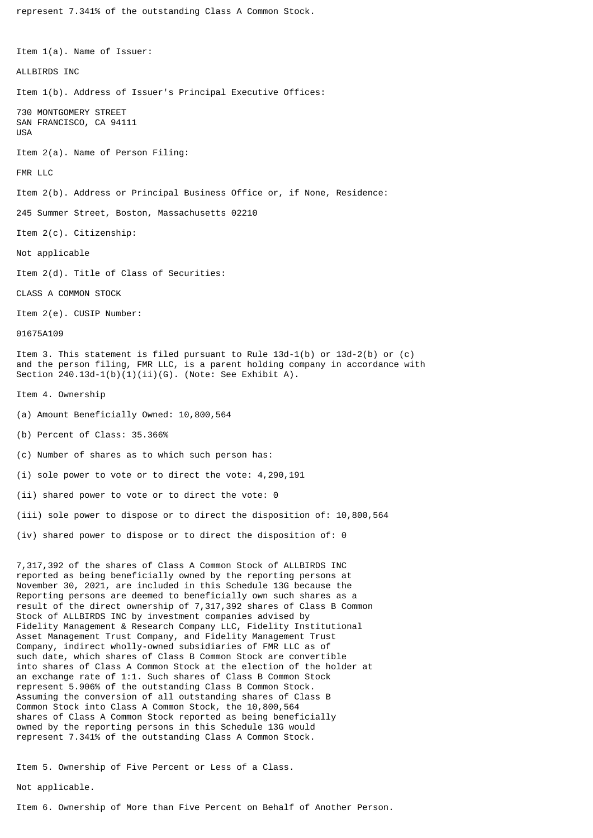represent 7.341% of the outstanding Class A Common Stock.

Item 1(a). Name of Issuer: ALL BIRDS INC Item 1(b). Address of Issuer's Principal Executive Offices: 730 MONTGOMERY STREET SAN FRANCISCO, CA 94111 USA Item 2(a). Name of Person Filing: FMR LLC Item 2(b). Address or Principal Business Office or, if None, Residence: 245 Summer Street, Boston, Massachusetts 02210 Item 2(c). Citizenship: Not applicable Item 2(d). Title of Class of Securities: CLASS A COMMON STOCK Item 2(e). CUSIP Number: 01675A109 Item 3. This statement is filed pursuant to Rule 13d-1(b) or 13d-2(b) or (c) and the person filing, FMR LLC, is a parent holding company in accordance with Section 240.13d-1(b)(1)(ii)(G). (Note: See Exhibit A). Item 4. Ownership (a) Amount Beneficially Owned: 10,800,564 (b) Percent of Class: 35.366% (c) Number of shares as to which such person has: (i) sole power to vote or to direct the vote: 4,290,191 (ii) shared power to vote or to direct the vote: 0 (iii) sole power to dispose or to direct the disposition of: 10,800,564 (iv) shared power to dispose or to direct the disposition of: 0 7,317,392 of the shares of Class A Common Stock of ALLBIRDS INC reported as being beneficially owned by the reporting persons at November 30, 2021, are included in this Schedule 13G because the Reporting persons are deemed to beneficially own such shares as a result of the direct ownership of 7,317,392 shares of Class B Common Stock of ALLBIRDS INC by investment companies advised by Fidelity Management & Research Company LLC, Fidelity Institutional Asset Management Trust Company, and Fidelity Management Trust Company, indirect wholly-owned subsidiaries of FMR LLC as of such date, which shares of Class B Common Stock are convertible into shares of Class A Common Stock at the election of the holder at an exchange rate of 1:1. Such shares of Class B Common Stock represent 5.906% of the outstanding Class B Common Stock. Assuming the conversion of all outstanding shares of Class B Common Stock into Class A Common Stock, the 10,800,564 shares of Class A Common Stock reported as being beneficially owned by the reporting persons in this Schedule 13G would represent 7.341% of the outstanding Class A Common Stock.

Item 5. Ownership of Five Percent or Less of a Class.

Not applicable.

Item 6. Ownership of More than Five Percent on Behalf of Another Person.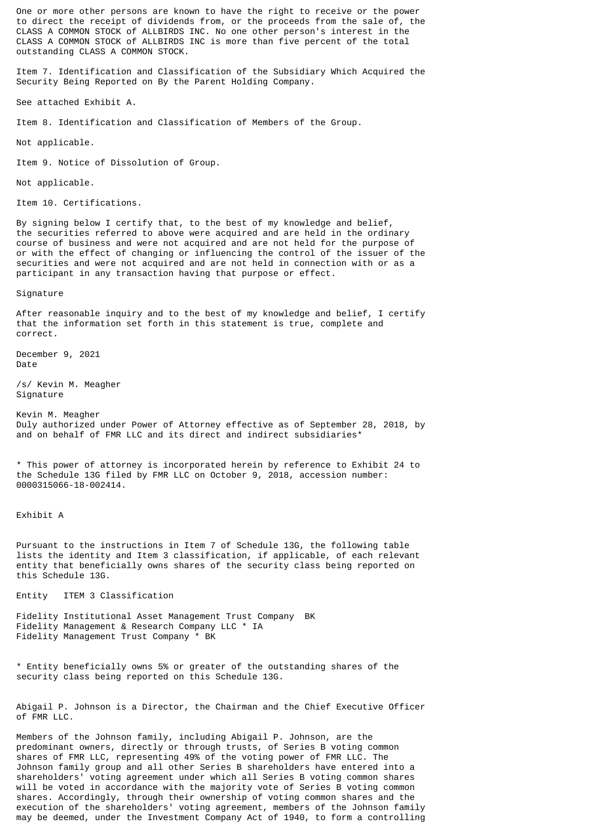One or more other persons are known to have the right to receive or the power to direct the receipt of dividends from, or the proceeds from the sale of, the CLASS A COMMON STOCK of ALLBIRDS INC. No one other person's interest in the CLASS A COMMON STOCK of ALLBIRDS INC is more than five percent of the total outstanding CLASS A COMMON STOCK.

Item 7. Identification and Classification of the Subsidiary Which Acquired the Security Being Reported on By the Parent Holding Company.

See attached Exhibit A.

Item 8. Identification and Classification of Members of the Group.

Not applicable.

Item 9. Notice of Dissolution of Group.

Not applicable.

Item 10. Certifications.

By signing below I certify that, to the best of my knowledge and belief, the securities referred to above were acquired and are held in the ordinary course of business and were not acquired and are not held for the purpose of or with the effect of changing or influencing the control of the issuer of the securities and were not acquired and are not held in connection with or as a participant in any transaction having that purpose or effect.

Signature

After reasonable inquiry and to the best of my knowledge and belief, I certify that the information set forth in this statement is true, complete and correct.

December 9, 2021 Date

/s/ Kevin M. Meagher Signature

Kevin M. Meagher Duly authorized under Power of Attorney effective as of September 28, 2018, by and on behalf of FMR LLC and its direct and indirect subsidiaries\*

\* This power of attorney is incorporated herein by reference to Exhibit 24 to the Schedule 13G filed by FMR LLC on October 9, 2018, accession number: 0000315066-18-002414.

Exhibit A

Pursuant to the instructions in Item 7 of Schedule 13G, the following table lists the identity and Item 3 classification, if applicable, of each relevant entity that beneficially owns shares of the security class being reported on this Schedule 13G.

Entity ITEM 3 Classification

Fidelity Institutional Asset Management Trust Company BK Fidelity Management & Research Company LLC \* IA Fidelity Management Trust Company \* BK

\* Entity beneficially owns 5% or greater of the outstanding shares of the security class being reported on this Schedule 13G.

Abigail P. Johnson is a Director, the Chairman and the Chief Executive Officer of FMR LLC.

Members of the Johnson family, including Abigail P. Johnson, are the predominant owners, directly or through trusts, of Series B voting common shares of FMR LLC, representing 49% of the voting power of FMR LLC. The Johnson family group and all other Series B shareholders have entered into a shareholders' voting agreement under which all Series B voting common shares will be voted in accordance with the majority vote of Series B voting common shares. Accordingly, through their ownership of voting common shares and the execution of the shareholders' voting agreement, members of the Johnson family may be deemed, under the Investment Company Act of 1940, to form a controlling